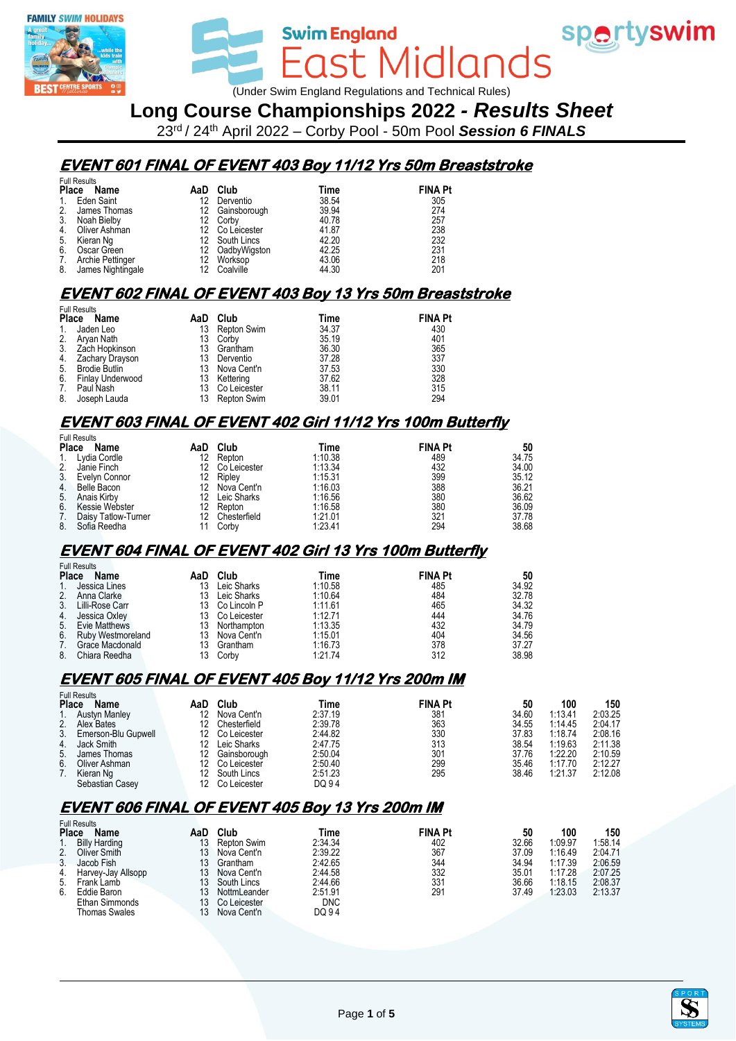



wim England<br>East Midlands (Under Swim England Regulations and Technical Rules)

**Swim England** 

## **Long Course Championships 2022** *- Results Sheet*

23rd / 24th April 2022 – Corby Pool - 50m Pool *Session 6 FINALS*

# **EVENT 601 FINAL OF EVENT 403 Boy 11/12 Yrs 50m Breaststroke**

|                      | <b>Full Results</b>  |     |                 |       |                |
|----------------------|----------------------|-----|-----------------|-------|----------------|
| <b>Place</b><br>Name |                      |     | AaD Club        | Time  | <b>FINA Pt</b> |
| $1_{\cdot}$          | Eden Saint           | 12  | Derventio       | 38.54 | 305            |
| 2.                   | James Thomas         | 12. | Gainsborough    | 39.94 | 274            |
| 3.                   | Noah Bielby          |     | 12 Corby        | 40.78 | 257            |
| 4.                   | Oliver Ashman        |     | 12 Co Leicester | 41.87 | 238            |
| 5.                   | Kieran Ng            |     | 12 South Lincs  | 42.20 | 232            |
| 6.                   | Oscar Green          |     | 12 OadbyWigston | 42.25 | 231            |
| 7.                   | Archie Pettinger     | 12. | Worksop         | 43.06 | 218            |
|                      | 8. James Nightingale |     | 12 Coalville    | 44.30 | 201            |

## **EVENT 602 FINAL OF EVENT 403 Boy 13 Yrs 50m Breaststroke**

|              | <b>Full Results</b>  |     |              |       |                |  |  |  |  |  |
|--------------|----------------------|-----|--------------|-------|----------------|--|--|--|--|--|
| <b>Place</b> | Name                 | AaD | Club         | Time  | <b>FINA Pt</b> |  |  |  |  |  |
| 1.           | Jaden Leo            | 13  | Repton Swim  | 34.37 | 430            |  |  |  |  |  |
| 2.           | Aryan Nath           | 13  | Corby        | 35.19 | 401            |  |  |  |  |  |
|              | 3. Zach Hopkinson    | 13  | Grantham     | 36.30 | 365            |  |  |  |  |  |
|              | 4. Zachary Drayson   | 13  | Derventio    | 37.28 | 337            |  |  |  |  |  |
| 5.           | <b>Brodie Butlin</b> | 13  | Nova Cent'n  | 37.53 | 330            |  |  |  |  |  |
| 6.           | Finlay Underwood     | 13  | Kettering    | 37.62 | 328            |  |  |  |  |  |
| 7.           | Paul Nash            | 13  | Co Leicester | 38.11 | 315            |  |  |  |  |  |
| 8.           | Joseph Lauda         | 13  | Repton Swim  | 39.01 | 294            |  |  |  |  |  |

### **EVENT 603 FINAL OF EVENT 402 Girl 11/12 Yrs 100m Butterfly**

|              | <b>Full Results</b> |     |              |         |                |       |
|--------------|---------------------|-----|--------------|---------|----------------|-------|
| <b>Place</b> | Name                | AaD | Club         | Time    | <b>FINA Pt</b> | 50    |
| 1.           | Lydia Cordle        | 12  | Repton       | 1:10.38 | 489            | 34.75 |
| 2.           | Janie Finch         |     | Co Leicester | 1:13.34 | 432            | 34.00 |
| 3.           | Evelyn Connor       | 12. | Riplev       | 1:15.31 | 399            | 35.12 |
|              | 4. Belle Bacon      | 12  | Nova Cent'n  | 1:16.03 | 388            | 36.21 |
|              | 5. Anais Kirby      | 12  | Leic Sharks  | 1:16.56 | 380            | 36.62 |
| 6.           | Kessie Webster      | 12  | Repton       | 1:16.58 | 380            | 36.09 |
| 7.           | Daisy Tatlow-Turner | 12  | Chesterfield | 1:21.01 | 321            | 37.78 |
| 8.           | Sofia Reedha        |     | Corby        | 1:23.41 | 294            | 38.68 |

#### **EVENT 604 FINAL OF EVENT 402 Girl 13 Yrs 100m Butterfly**

|                | <b>Full Results</b>      |     |                |         |                |       |
|----------------|--------------------------|-----|----------------|---------|----------------|-------|
| <b>Place</b>   | Name                     | AaD | Club           | Time    | <b>FINA Pt</b> | 50    |
| $1_{\cdot}$    | Jessica Lines            | 13  | Leic Sharks    | 1:10.58 | 485            | 34.92 |
| 2.             | Anna Clarke              | 13  | Leic Sharks    | 1:10.64 | 484            | 32.78 |
| 3.             | Lilli-Rose Carr          | 13  | Co Lincoln P   | 1:11.61 | 465            | 34.32 |
| 4.             | Jessica Oxley            | 13. | Co Leicester   | 1:12.71 | 444            | 34.76 |
|                | 5. Evie Matthews         |     | 13 Northampton | 1:13.35 | 432            | 34.79 |
| 6 <sup>1</sup> | <b>Ruby Westmoreland</b> | 13  | Nova Cent'n    | 1:15.01 | 404            | 34.56 |
| 7.             | Grace Macdonald          | 13  | Grantham       | 1:16.73 | 378            | 37.27 |
| 8.             | Chiara Reedha            | 13  | Corby          | 1:21.74 | 312            | 38.98 |

# **EVENT 605 FINAL OF EVENT 405 Boy 11/12 Yrs 200m IM**

|    | <b>Full Results</b>  |                 |              |         |                |       |         |         |
|----|----------------------|-----------------|--------------|---------|----------------|-------|---------|---------|
|    | <b>Place</b><br>Name | AaD             | Club         | Time    | <b>FINA Pt</b> | 50    | 100     | 150     |
|    | <b>Austyn Manley</b> | 12              | Nova Cent'n  | 2:37.19 | 381            | 34.60 | 1:13.41 | 2:03.25 |
| 2. | Alex Bates           | 12              | Chesterfield | 2:39.78 | 363            | 34.55 | 1:14.45 | 2:04.17 |
| 3. | Emerson-Blu Gupwell  | 12 <sup>°</sup> | Co Leicester | 2:44.82 | 330            | 37.83 | 1:18.74 | 2:08.16 |
| 4. | Jack Smith           | 12              | Leic Sharks  | 2:47.75 | 313            | 38.54 | 1:19.63 | 2:11.38 |
| 5. | James Thomas         | 12              | Gainsborough | 2:50.04 | 301            | 37.76 | 1:22.20 | 2:10.59 |
| 6. | Oliver Ashman        | 12              | Co Leicester | 2:50.40 | 299            | 35.46 | 1:17.70 | 2:12.27 |
|    | Kieran Ng            | 12.             | South Lincs  | 2:51.23 | 295            | 38.46 | 1:21.37 | 2:12.08 |
|    | Sebastian Casey      |                 | Co Leicester | DQ 94   |                |       |         |         |

## **EVENT 606 FINAL OF EVENT 405 Boy 13 Yrs 200m IM**

|                | <b>Full Results</b>  |                 |              |         |                |       |         |         |
|----------------|----------------------|-----------------|--------------|---------|----------------|-------|---------|---------|
| <b>Place</b>   | Name                 | AaD             | Club         | Time    | <b>FINA Pt</b> | 50    | 100     | 150     |
|                | <b>Billy Harding</b> | 13              | Repton Swim  | 2:34.34 | 402            | 32.66 | 1:09.97 | 1:58.14 |
| 2.             | Oliver Smith         | 13              | Nova Cent'n  | 2:39.22 | 367            | 37.09 | 1:16.49 | 2:04.71 |
| 3 <sub>1</sub> | Jacob Fish           | 13 <sup>°</sup> | Grantham     | 2:42.65 | 344            | 34.94 | 1:17.39 | 2:06.59 |
| 4.             | Harvey-Jay Allsopp   | 13              | Nova Cent'n  | 2:44.58 | 332            | 35.01 | 1:17.28 | 2:07.25 |
| 5.             | Frank Lamb           | 13              | South Lincs  | 2:44.66 | 331            | 36.66 | 1:18.15 | 2:08.37 |
| 6.             | Eddie Baron          | 13              | NottmLeander | 2:51.91 | 291            | 37.49 | 1:23.03 | 2:13.37 |
|                | Ethan Simmonds       | 13.             | Co Leicester | DNC     |                |       |         |         |
|                | Thomas Swales        | 13              | Nova Cent'n  | DQ 94   |                |       |         |         |



spertyswim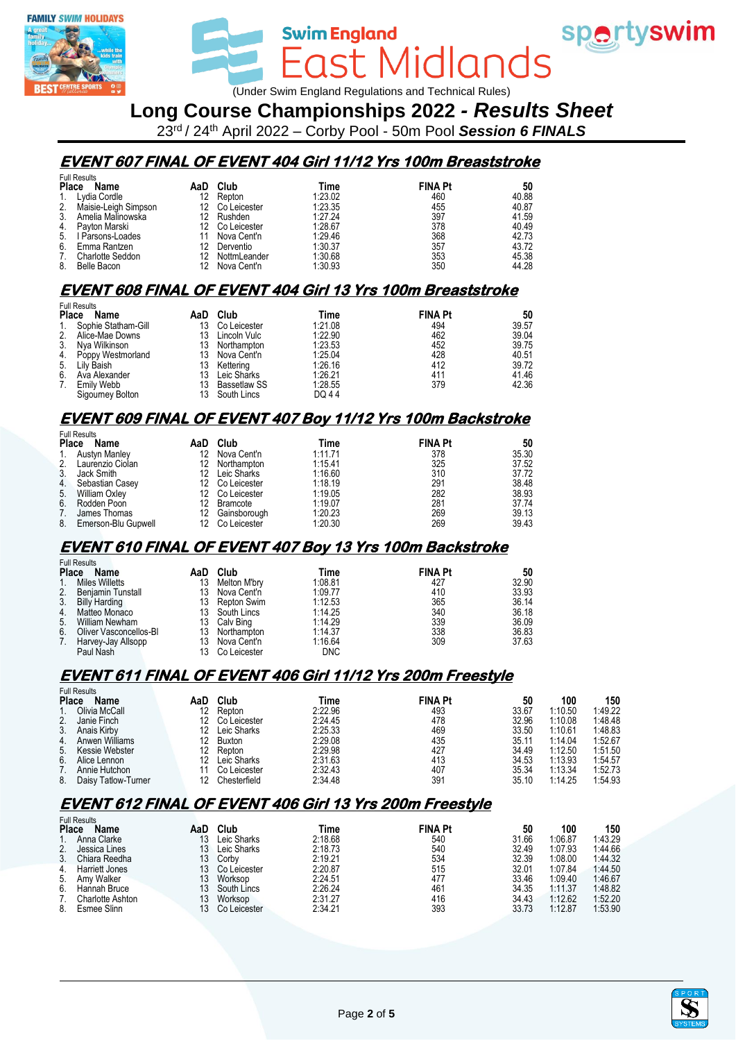

wim**England**<br>East Midlands (Under Swim England Regulations and Technical Rules)

**Swim England** 

# **Long Course Championships 2022** *- Results Sheet*

23rd / 24th April 2022 – Corby Pool - 50m Pool *Session 6 FINALS*

# **EVENT 607 FINAL OF EVENT 404 Girl 11/12 Yrs 100m Breaststroke**

|              | <b>Full Results</b>  |     |              |         |                |       |
|--------------|----------------------|-----|--------------|---------|----------------|-------|
| <b>Place</b> | Name                 | AaD | Club         | Time    | <b>FINA Pt</b> | 50    |
|              | 1. Lydia Cordle      | 12  | Repton       | 1:23.02 | 460            | 40.88 |
| 2.           | Maisie-Leigh Simpson | 12  | Co Leicester | 1:23.35 | 455            | 40.87 |
| 3.           | Amelia Malinowska    | 12  | Rushden      | 1:27.24 | 397            | 41.59 |
|              | 4. Payton Marski     | 12  | Co Leicester | 1:28.67 | 378            | 40.49 |
| 5.           | I Parsons-Loades     | 11  | Nova Cent'n  | 1:29.46 | 368            | 42.73 |
| 6.           | Emma Rantzen         | 12  | Derventio    | 1:30.37 | 357            | 43.72 |
| 7.           | Charlotte Seddon     | 12  | NottmLeander | 1:30.68 | 353            | 45.38 |
| 8.           | Belle Bacon          | 12  | Nova Cent'n  | 1:30.93 | 350            | 44.28 |

# **EVENT 608 FINAL OF EVENT 404 Girl 13 Yrs 100m Breaststroke**

|                | <b>Full Results</b>  |     |                     |         |                |       |
|----------------|----------------------|-----|---------------------|---------|----------------|-------|
| <b>Place</b>   | Name                 | AaD | Club                | Time    | <b>FINA Pt</b> | 50    |
| 1.             | Sophie Statham-Gill  | 13  | Co Leicester        | 1:21.08 | 494            | 39.57 |
| 2.             | Alice-Mae Downs      | 13  | Lincoln Vulc        | 1:22.90 | 462            | 39.04 |
| 3 <sub>1</sub> | Nya Wilkinson        | 13  | Northampton         | 1:23.53 | 452            | 39.75 |
|                | 4. Poppy Westmorland | 13  | Nova Cent'n         | 1:25.04 | 428            | 40.51 |
|                | 5. Lily Baish        | 13  | Kettering           | 1:26.16 | 412            | 39.72 |
| 6.             | Ava Alexander        | 13  | Leic Sharks         | 1:26.21 | 411            | 41.46 |
| 7.             | Emily Webb           | 13  | <b>Bassetlaw SS</b> | 1:28.55 | 379            | 42.36 |
|                | Sigourney Bolton     | 13  | South Lincs         | DQ 44   |                |       |

#### **EVENT 609 FINAL OF EVENT 407 Boy 11/12 Yrs 100m Backstroke**

|              | <b>Full Results</b>    |     |                 |         |                |       |
|--------------|------------------------|-----|-----------------|---------|----------------|-------|
| <b>Place</b> | Name                   | AaD | Club            | Time    | <b>FINA Pt</b> | 50    |
| 1.           | Austyn Manley          | 12  | Nova Cent'n     | 1:11.71 | 378            | 35.30 |
|              | 2. Laurenzio Ciolan    | 12  | Northampton     | 1:15.41 | 325            | 37.52 |
| 3.           | Jack Smith             | 12  | Leic Sharks     | 1:16.60 | 310            | 37.72 |
| 4.           | Sebastian Casey        |     | 12 Co Leicester | 1:18.19 | 291            | 38.48 |
| 5.           | William Oxley          |     | Co Leicester    | 1:19.05 | 282            | 38.93 |
| 6.           | Rodden Poon            |     | Bramcote        | 1:19.07 | 281            | 37.74 |
| 7.           | James Thomas           | 12  | Gainsborough    | 1:20.23 | 269            | 39.13 |
|              | 8. Emerson-Blu Gupwell |     | Co Leicester    | 1:20.30 | 269            | 39.43 |

#### **EVENT 610 FINAL OF EVENT 407 Boy 13 Yrs 100m Backstroke**

|                | <b>Full Results</b>    |    |              |            |                |       |
|----------------|------------------------|----|--------------|------------|----------------|-------|
| <b>Place</b>   | Name                   |    | AaD Club     | Time       | <b>FINA Pt</b> | 50    |
| 1.             | <b>Miles Willetts</b>  | 13 | Melton M'bry | 1:08.81    | 427            | 32.90 |
| 2.             | Benjamin Tunstall      | 13 | Nova Cent'n  | 1:09.77    | 410            | 33.93 |
| 3 <sub>1</sub> | <b>Billy Harding</b>   | 13 | Repton Swim  | 1:12.53    | 365            | 36.14 |
| 4.             | Matteo Monaco          | 13 | South Lincs  | 1:14.25    | 340            | 36.18 |
| 5.             | <b>William Newham</b>  | 13 | Calv Bing    | 1:14.29    | 339            | 36.09 |
| 6.             | Oliver Vasconcellos-BI | 13 | Northampton  | 1:14.37    | 338            | 36.83 |
| 7.             | Harvey-Jay Allsopp     | 13 | Nova Cent'n  | 1:16.64    | 309            | 37.63 |
|                | Paul Nash              |    | Co Leicester | <b>DNC</b> |                |       |

### **EVENT 611 FINAL OF EVENT 406 Girl 11/12 Yrs 200m Freestyle**

|    | <b>Full Results</b>  |     |              |         |                |       |         |         |
|----|----------------------|-----|--------------|---------|----------------|-------|---------|---------|
|    | <b>Place</b><br>Name | AaD | Club         | Time    | <b>FINA Pt</b> | 50    | 100     | 150     |
|    | Olivia McCall        |     | Repton       | 2:22.96 | 493            | 33.67 | 1:10.50 | 1:49.22 |
| 2. | Janie Finch          |     | Co Leicester | 2:24.45 | 478            | 32.96 | 1:10.08 | 1:48.48 |
| 3. | Anais Kirby          |     | Leic Sharks  | 2:25.33 | 469            | 33.50 | 1:10.61 | 1:48.83 |
| 4. | Anwen Williams       |     | Buxton       | 2:29.08 | 435            | 35.11 | 1:14.04 | 1:52.67 |
| 5. | Kessie Webster       |     | Repton       | 2:29.98 | 427            | 34.49 | 1:12.50 | 1:51.50 |
| 6. | Alice Lennon         |     | Leic Sharks  | 2:31.63 | 413            | 34.53 | 1:13.93 | 1:54.57 |
|    | Annie Hutchon        |     | Co Leicester | 2:32.43 | 407            | 35.34 | 1:13.34 | 1:52.73 |
| 8. | Daisy Tatlow-Turner  |     | Chesterfield | 2:34.48 | 39٬            | 35.10 | 1:14.25 | 1:54.93 |

## **EVENT 612 FINAL OF EVENT 406 Girl 13 Yrs 200m Freestyle**

|              | <b>Full Results</b>   |     |              |         |                |       |         |         |
|--------------|-----------------------|-----|--------------|---------|----------------|-------|---------|---------|
| <b>Place</b> | <b>Name</b>           | AaD | Club         | Time    | <b>FINA Pt</b> | 50    | 100     | 150     |
|              | Anna Clarke           |     | Leic Sharks  | 2:18.68 | 540            | 31.66 | 1:06.87 | 1:43.29 |
| 2.           | Jessica Lines         | 13. | Leic Sharks  | 2:18.73 | 540            | 32.49 | 1:07.93 | 1:44.66 |
| 3.           | Chiara Reedha         | 13. | Corby        | 2:19.21 | 534            | 32.39 | 1:08.00 | 1:44.32 |
| 4.           | <b>Harriett Jones</b> |     | Co Leicester | 2:20.87 | 515            | 32.01 | 1:07.84 | 1:44.50 |
|              | 5. Amy Walker         | 13  | Worksop      | 2:24.51 | 477            | 33.46 | 1:09.40 | 1:46.67 |
| 6.           | Hannah Bruce          |     | South Lincs  | 2:26.24 | 461            | 34.35 | 1:11.37 | 1:48.82 |
|              | Charlotte Ashton      |     | Worksop      | 2:31.27 | 416            | 34.43 | 1:12.62 | 1:52.20 |
| 8.           | Esmee Slinn           |     | Co Leicester | 2:34.21 | 393            | 33.73 | 1:12.87 | 1:53.90 |



sportyswim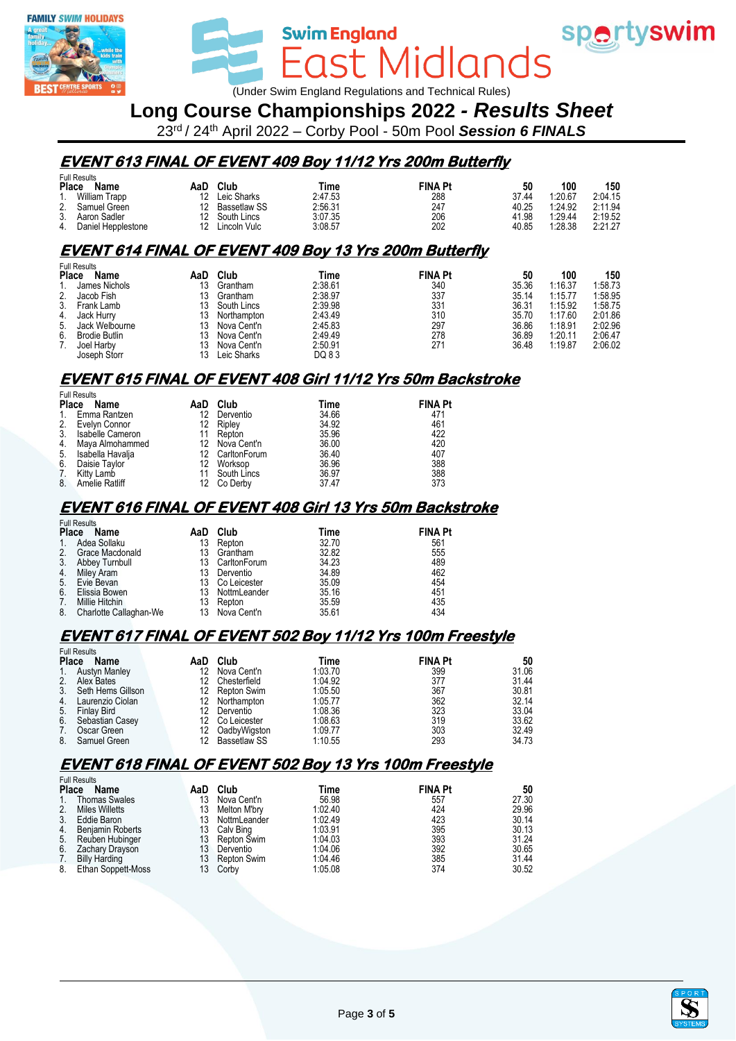



wim**England**<br>East Midlands (Under Swim England Regulations and Technical Rules)

**Swim England** 

# **Long Course Championships 2022** *- Results Sheet*

23rd / 24th April 2022 – Corby Pool - 50m Pool *Session 6 FINALS*

#### **EVENT 613 FINAL OF EVENT 409 Boy 11/12 Yrs 200m Butterfly**

|    | Full Results       |     |              |         |                |       |         |         |
|----|--------------------|-----|--------------|---------|----------------|-------|---------|---------|
|    | Place<br>Name      | AaD | Club         | Time    | <b>FINA Pt</b> | 50    | 100     | 150     |
|    | William Trapp      | 12  | Leic Sharks  | 2:47.53 | 288            | 37.44 | 1:20.67 | 2:04.15 |
|    | Samuel Green       |     | Bassetlaw SS | 2:56.31 | 247            | 40.25 | 1:24.92 | 2:11.94 |
| 3. | Aaron Sadler       |     | South Lincs  | 3:07.35 | 206            | 41.98 | 1:29.44 | 2:19.52 |
| 4. | Daniel Hepplestone |     | Lincoln Vulc | 3:08.57 | 202            | 40.85 | 1:28.38 | 2:21.27 |

## **EVENT 614 FINAL OF EVENT 409 Boy 13 Yrs 200m Butterfly**

|    | <b>Full Results</b>         |     |                |         |                |       |         |         |
|----|-----------------------------|-----|----------------|---------|----------------|-------|---------|---------|
|    | <b>Place</b><br><b>Name</b> | AaD | Club           | Time    | <b>FINA Pt</b> | 50    | 100     | 150     |
|    | James Nichols               | 13  | Grantham       | 2:38.61 | 340            | 35.36 | 1:16.37 | 1:58.73 |
| 2. | Jacob Fish                  | 13  | Grantham       | 2:38.97 | 337            | 35.14 | 1:15.77 | 1:58.95 |
| 3. | Frank Lamb                  | 13  | South Lincs    | 2:39.98 | 331            | 36.31 | 1:15.92 | 1:58.75 |
|    | 4. Jack Hurry               | 13  | Northampton    | 2:43.49 | 310            | 35.70 | 1:17.60 | 2:01.86 |
| 5. | Jack Welbourne              |     | 13 Nova Cent'n | 2:45.83 | 297            | 36.86 | 1:18.91 | 2:02.96 |
| 6. | <b>Brodie Butlin</b>        | 13  | Nova Cent'n    | 2:49.49 | 278            | 36.89 | 1:20.11 | 2:06.47 |
| 7. | Joel Harby                  | 13  | Nova Cent'n    | 2:50.91 | 271            | 36.48 | 1:19.87 | 2:06.02 |
|    | Joseph Storr                | 13  | Leic Sharks    | DQ 83   |                |       |         |         |

## **EVENT 615 FINAL OF EVENT 408 Girl 11/12 Yrs 50m Backstroke**

| <b>Full Results</b>         |                       |     |                 |       |                |  |  |  |  |
|-----------------------------|-----------------------|-----|-----------------|-------|----------------|--|--|--|--|
| <b>Place</b><br>Name<br>AaD |                       |     | Club            | Time  | <b>FINA Pt</b> |  |  |  |  |
| 1.                          | Emma Rantzen          | 12  | Derventio       | 34.66 | 471            |  |  |  |  |
| 2.                          | Evelyn Connor         | 12. | Ripley          | 34.92 | 461            |  |  |  |  |
| 3.                          | Isabelle Cameron      |     | 11 Repton       | 35.96 | 422            |  |  |  |  |
| 4.                          | Maya Almohammed       |     | 12 Nova Cent'n  | 36.00 | 420            |  |  |  |  |
| 5.                          | Isabella Havalja      |     | 12 CarltonForum | 36.40 | 407            |  |  |  |  |
| 6.                          | Daisie Taylor         | 12  | Worksop         | 36.96 | 388            |  |  |  |  |
| 7.                          | Kitty Lamb            |     | South Lincs     | 36.97 | 388            |  |  |  |  |
| 8.                          | <b>Amelie Ratliff</b> |     | 12 Co Derby     | 37.47 | 373            |  |  |  |  |

### **EVENT 616 FINAL OF EVENT 408 Girl 13 Yrs 50m Backstroke**

| <b>Full Results</b> |                        |     |                 |       |                |  |  |  |  |  |
|---------------------|------------------------|-----|-----------------|-------|----------------|--|--|--|--|--|
| <b>Place</b>        | Name                   | AaD | Club            | Time  | <b>FINA Pt</b> |  |  |  |  |  |
| 1.                  | Adea Sollaku           | 13  | Repton          | 32.70 | 561            |  |  |  |  |  |
| 2.                  | Grace Macdonald        | 13  | Grantham        | 32.82 | 555            |  |  |  |  |  |
| 3.                  | Abbey Turnbull         | 13  | CarltonForum    | 34.23 | 489            |  |  |  |  |  |
| 4.                  | Miley Aram             | 13  | Derventio       | 34.89 | 462            |  |  |  |  |  |
| 5.                  | Evie Bevan             |     | 13 Co Leicester | 35.09 | 454            |  |  |  |  |  |
| 6.                  | Elissia Bowen          | 13  | NottmLeander    | 35.16 | 451            |  |  |  |  |  |
| 7.                  | Millie Hitchin         | 13  | Repton          | 35.59 | 435            |  |  |  |  |  |
| 8.                  | Charlotte Callaghan-We |     | 13 Nova Cent'n  | 35.61 | 434            |  |  |  |  |  |

## **EVENT 617 FINAL OF EVENT 502 Boy 11/12 Yrs 100m Freestyle**

|                | <b>Full Results</b>  |     |              |         |                |       |
|----------------|----------------------|-----|--------------|---------|----------------|-------|
| <b>Place</b>   | Name                 | AaD | Club         | Time    | <b>FINA Pt</b> | 50    |
| 1.             | <b>Austyn Manley</b> | 12  | Nova Cent'n  | 1:03.70 | 399            | 31.06 |
| 2.             | Alex Bates           |     | Chesterfield | 1:04.92 | 377            | 31.44 |
| 3 <sub>1</sub> | Seth Hems Gillson    | 12  | Repton Swim  | 1:05.50 | 367            | 30.81 |
| 4.             | Laurenzio Ciolan     | 12  | Northampton  | 1:05.77 | 362            | 32.14 |
| 5.             | <b>Finlay Bird</b>   |     | Derventio    | 1:08.36 | 323            | 33.04 |
| 6.             | Sebastian Casey      | 12  | Co Leicester | 1:08.63 | 319            | 33.62 |
| 7.             | Oscar Green          |     | OadbyWigston | 1:09.77 | 303            | 32.49 |
| 8.             | Samuel Green         |     | Bassetlaw SS | 1:10.55 | 293            | 34.73 |

#### **EVENT 618 FINAL OF EVENT 502 Boy 13 Yrs 100m Freestyle**

|                  | <b>Full Results</b>  |     |              |         |                |       |
|------------------|----------------------|-----|--------------|---------|----------------|-------|
| <b>Place</b>     | Name                 | AaD | Club         | Time    | <b>FINA Pt</b> | 50    |
| $\overline{1}$ . | <b>Thomas Swales</b> | 13  | Nova Cent'n  | 56.98   | 557            | 27.30 |
| 2.               | Miles Willetts       | 13  | Melton M'brv | 1:02.40 | 424            | 29.96 |
| 3 <sub>1</sub>   | Eddie Baron          | 13. | NottmLeander | 1:02.49 | 423            | 30.14 |
| 4.               | Benjamin Roberts     | 13  | Calv Bing    | 1:03.91 | 395            | 30.13 |
| 5.               | Reuben Hubinger      | 13  | Repton Swim  | 1:04.03 | 393            | 31.24 |
| 6.               | Zachary Drayson      | 13  | Derventio    | 1:04.06 | 392            | 30.65 |
| 7.               | <b>Billy Harding</b> | 13  | Repton Swim  | 1:04.46 | 385            | 31.44 |
| 8.               | Ethan Soppett-Moss   | 13. | Corby        | 1:05.08 | 374            | 30.52 |



spertyswim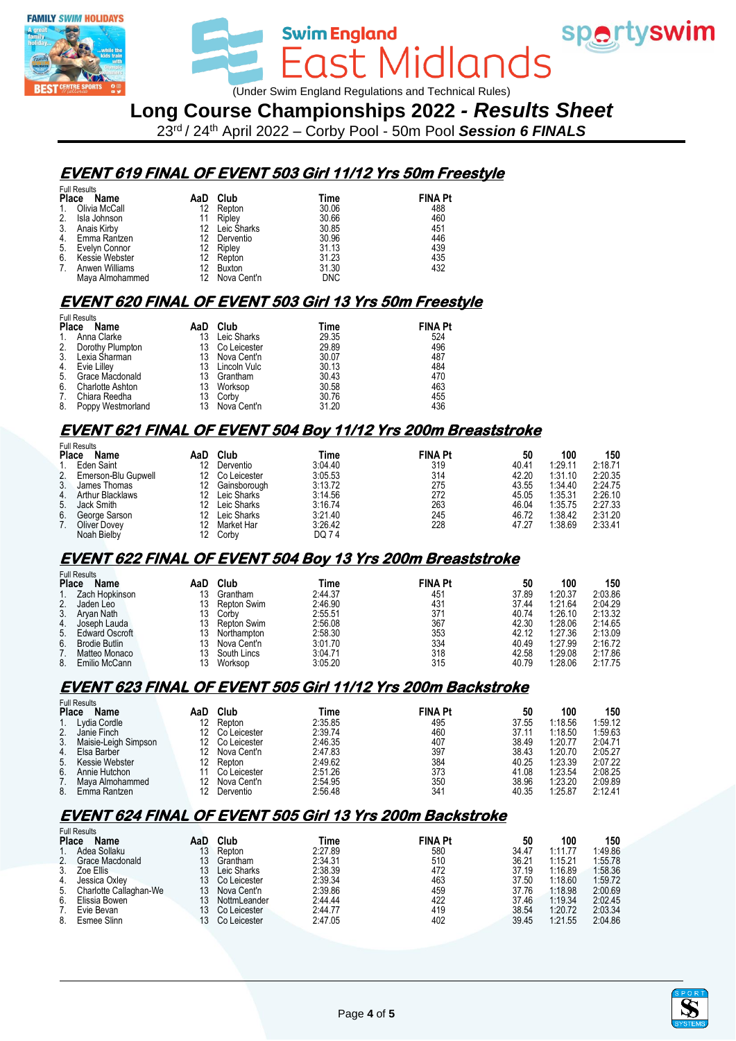

ast Midlands (Under Swim England Regulations and Technical Rules)

**Swim England** 

**Long Course Championships 2022** *- Results Sheet*

23rd / 24th April 2022 – Corby Pool - 50m Pool *Session 6 FINALS*

### **EVENT 619 FINAL OF EVENT 503 Girl 11/12 Yrs 50m Freestyle**

|             | <b>Full Results</b> |     |                |            |                |
|-------------|---------------------|-----|----------------|------------|----------------|
|             | Place<br>Name       | AaD | Club           | Time       | <b>FINA Pt</b> |
| 1.          | Olivia McCall       |     | 12 Repton      | 30.06      | 488            |
| 2.          | Isla Johnson        | 11  | Riplev         | 30.66      | 460            |
| 3.          | Anais Kirby         |     | 12 Leic Sharks | 30.85      | 451            |
|             | 4. Emma Rantzen     | 12. | Derventio      | 30.96      | 446            |
|             | 5. Evelyn Connor    |     | 12 Ripley      | 31.13      | 439            |
| 6.          | Kessie Webster      |     | 12 Repton      | 31.23      | 435            |
| $7_{\cdot}$ | Anwen Williams      |     | 12 Buxton      | 31.30      | 432            |
|             | Maya Almohammed     |     | 12 Nova Cent'n | <b>DNC</b> |                |

### **EVENT 620 FINAL OF EVENT 503 Girl 13 Yrs 50m Freestyle**

| Name                    | AaD                                                                                                                  | Club        | Time                                                                   | <b>FINA Pt</b> |
|-------------------------|----------------------------------------------------------------------------------------------------------------------|-------------|------------------------------------------------------------------------|----------------|
|                         | 13                                                                                                                   | Leic Sharks | 29.35                                                                  | 524            |
|                         | 13                                                                                                                   |             | 29.89                                                                  | 496            |
|                         | 13                                                                                                                   |             | 30.07                                                                  | 487            |
|                         | 13                                                                                                                   |             | 30.13                                                                  | 484            |
| Grace Macdonald         | 13                                                                                                                   |             | 30.43                                                                  | 470            |
| <b>Charlotte Ashton</b> | 13                                                                                                                   | Worksop     | 30.58                                                                  | 463            |
| Chiara Reedha           | 13                                                                                                                   | Corby       | 30.76                                                                  | 455            |
|                         | 13                                                                                                                   |             | 31.20                                                                  | 436            |
|                         | <b>Full Results</b><br>Place<br>Anna Clarke<br>Dorothy Plumpton<br>Lexia Sharman<br>Evie Lilley<br>Poppy Westmorland |             | Co Leicester<br>Nova Cent'n<br>Lincoln Vulc<br>Grantham<br>Nova Cent'n |                |

### **EVENT 621 FINAL OF EVENT 504 Boy 11/12 Yrs 200m Breaststroke**

|    | <b>Full Results</b>     |     |              |         |                |       |         |         |
|----|-------------------------|-----|--------------|---------|----------------|-------|---------|---------|
|    | <b>Place</b><br>Name    | AaD | Club         | Time    | <b>FINA Pt</b> | 50    | 100     | 150     |
|    | Eden Saint              | 12  | Derventio    | 3:04.40 | 319            | 40.41 | 1:29.11 | 2:18.71 |
| 2. | Emerson-Blu Gupwell     | 12  | Co Leicester | 3:05.53 | 314            | 42.20 | 1:31.10 | 2:20.35 |
| 3. | James Thomas            | 12  | Gainsborough | 3:13.72 | 275            | 43.55 | 1:34.40 | 2:24.75 |
| 4. | <b>Arthur Blacklaws</b> | 12  | Leic Sharks  | 3:14.56 | 272            | 45.05 | 1:35.31 | 2:26.10 |
|    | 5. Jack Smith           | 12  | Leic Sharks  | 3:16.74 | 263            | 46.04 | 1:35.75 | 2:27.33 |
| 6. | George Sarson           | 12  | Leic Sharks  | 3:21.40 | 245            | 46.72 | 1:38.42 | 2:31.20 |
|    | <b>Oliver Dovey</b>     | 12. | Market Har   | 3:26.42 | 228            | 47.27 | 1:38.69 | 2:33.41 |
|    | Noah Bielby             | 12  | Corby        | DQ 74   |                |       |         |         |

#### **EVENT 622 FINAL OF EVENT 504 Boy 13 Yrs 200m Breaststroke**

|    | <b>Full Results</b>   |     |             |         |                |       |         |         |
|----|-----------------------|-----|-------------|---------|----------------|-------|---------|---------|
|    | <b>Place</b><br>Name  | AaD | Club        | Time    | <b>FINA Pt</b> | 50    | 100     | 150     |
|    | Zach Hopkinson        | 13  | Grantham    | 2:44.37 | 451            | 37.89 | 1:20.37 | 2:03.86 |
| 2. | Jaden Leo             |     | Repton Swim | 2:46.90 | 431            | 37.44 | 1:21.64 | 2:04.29 |
| 3. | Arvan Nath            |     | Corby       | 2:55.51 | 371            | 40.74 | 1:26.10 | 2:13.32 |
| 4. | Joseph Lauda          |     | Repton Swim | 2:56.08 | 367            | 42.30 | 1:28.06 | 2:14.65 |
| 5. | <b>Edward Oscroft</b> | 13  | Northampton | 2:58.30 | 353            | 42.12 | 1:27.36 | 2:13.09 |
| 6. | <b>Brodie Butlin</b>  |     | Nova Cent'n | 3:01.70 | 334            | 40.49 | 1:27.99 | 2:16.72 |
|    | Matteo Monaco         | 13  | South Lincs | 3:04.71 | 318            | 42.58 | 1:29.08 | 2:17.86 |
| 8. | Emilio McCann         |     | Worksop     | 3:05.20 | 315            | 40.79 | 1:28.06 | 2:17.75 |

#### **EVENT 623 FINAL OF EVENT 505 Girl 11/12 Yrs 200m Backstroke**

|              | <b>Full Results</b>  |     |              |         |                 |       |         |         |
|--------------|----------------------|-----|--------------|---------|-----------------|-------|---------|---------|
| <b>Place</b> | Name                 | AaD | Club         | Time    | <b>FINA Pt</b>  | 50    | 100     | 150     |
|              | Lydia Cordle         |     | Repton       | 2:35.85 | 495             | 37.55 | 1:18.56 | 1:59.12 |
|              | Janie Finch          |     | Co Leicester | 2:39.74 | 460             | 37.11 | 1:18.50 | 1:59.63 |
| 3.           | Maisie-Leigh Simpson |     | Co Leicester | 2:46.35 | 407             | 38.49 | 1:20.77 | 2:04.71 |
| 4.           | Elsa Barber          | 12  | Nova Cent'n  | 2:47.83 | 397             | 38.43 | 1:20.70 | 2:05.27 |
| 5.           | Kessie Webster       | 12  | Repton       | 2:49.62 | 384             | 40.25 | 1:23.39 | 2:07.22 |
| 6.           | Annie Hutchon        |     | Co Leicester | 2:51.26 | 373             | 41.08 | 1:23.54 | 2:08.25 |
|              | Mava Almohammed      | 12  | Nova Cent'n  | 2:54.95 | 350             | 38.96 | 1:23.20 | 2:09.89 |
| 8.           | Emma Rantzen         |     | Derventio    | 2:56.48 | 34 <sup>′</sup> | 40.35 | 1:25.87 | 2:12.41 |

## **EVENT 624 FINAL OF EVENT 505 Girl 13 Yrs 200m Backstroke**

|                | <b>Full Results</b>    |     |              |         |                |       |         |         |
|----------------|------------------------|-----|--------------|---------|----------------|-------|---------|---------|
| <b>Place</b>   | Name                   | AaD | Club         | Time    | <b>FINA Pt</b> | 50    | 100     | 150     |
|                | Adea Sollaku           | 13  | Repton       | 2:27.89 | 580            | 34.47 | 1:11.77 | 1:49.86 |
| 2.             | Grace Macdonald        | 13  | Grantham     | 2:34.31 | 510            | 36.21 | 1:15.21 | 1:55.78 |
| 3.             | Zoe Ellis              | 13  | Leic Sharks  | 2:38.39 | 472            | 37.19 | 1:16.89 | 1:58.36 |
| 4.             | Jessica Oxley          | 13  | Co Leicester | 2:39.34 | 463            | 37.50 | 1:18.60 | 1:59.72 |
| 5 <sub>1</sub> | Charlotte Callaghan-We | 13  | Nova Cent'n  | 2:39.86 | 459            | 37.76 | 1:18.98 | 2:00.69 |
| 6.             | Elissia Bowen          |     | NottmLeander | 2:44.44 | 422            | 37.46 | 1:19.34 | 2:02.45 |
|                | Evie Bevan             |     | Co Leicester | 2:44.77 | 419            | 38.54 | 1:20.72 | 2:03.34 |
| 8.             | Esmee Slinn            |     | Co Leicester | 2:47.05 | 402            | 39.45 | 1:21.55 | 2:04.86 |



spertyswim